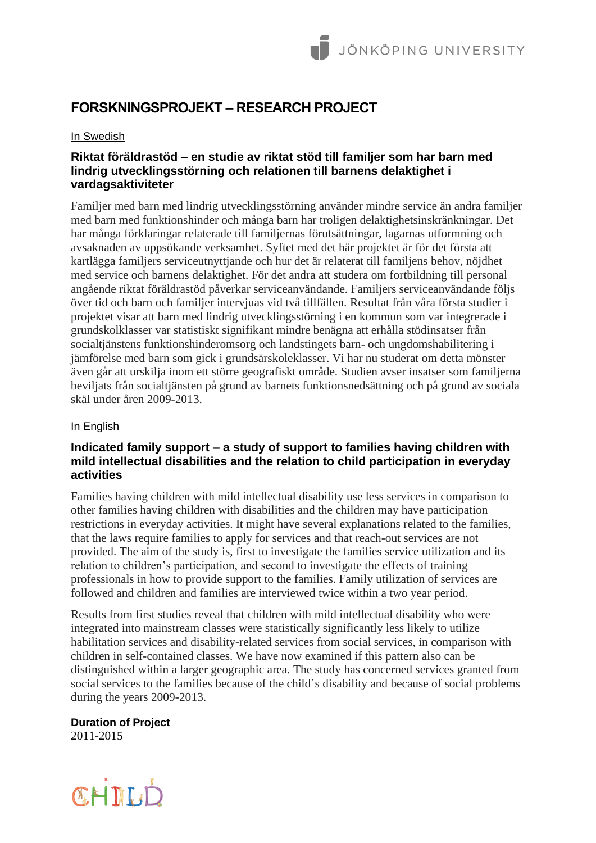# **FORSKNINGSPROJEKT – RESEARCH PROJECT**

### In Swedish

# **Riktat föräldrastöd – en studie av riktat stöd till familjer som har barn med lindrig utvecklingsstörning och relationen till barnens delaktighet i vardagsaktiviteter**

Familjer med barn med lindrig utvecklingsstörning använder mindre service än andra familjer med barn med funktionshinder och många barn har troligen delaktighetsinskränkningar. Det har många förklaringar relaterade till familjernas förutsättningar, lagarnas utformning och avsaknaden av uppsökande verksamhet. Syftet med det här projektet är för det första att kartlägga familjers serviceutnyttjande och hur det är relaterat till familjens behov, nöjdhet med service och barnens delaktighet. För det andra att studera om fortbildning till personal angående riktat föräldrastöd påverkar serviceanvändande. Familjers serviceanvändande följs över tid och barn och familjer intervjuas vid två tillfällen. Resultat från våra första studier i projektet visar att barn med lindrig utvecklingsstörning i en kommun som var integrerade i grundskolklasser var statistiskt signifikant mindre benägna att erhålla stödinsatser från socialtjänstens funktionshinderomsorg och landstingets barn- och ungdomshabilitering i jämförelse med barn som gick i grundsärskoleklasser. Vi har nu studerat om detta mönster även går att urskilja inom ett större geografiskt område. Studien avser insatser som familjerna beviljats från socialtjänsten på grund av barnets funktionsnedsättning och på grund av sociala skäl under åren 2009-2013.

### In English

# **Indicated family support – a study of support to families having children with mild intellectual disabilities and the relation to child participation in everyday activities**

Families having children with mild intellectual disability use less services in comparison to other families having children with disabilities and the children may have participation restrictions in everyday activities. It might have several explanations related to the families, that the laws require families to apply for services and that reach-out services are not provided. The aim of the study is, first to investigate the families service utilization and its relation to children's participation, and second to investigate the effects of training professionals in how to provide support to the families. Family utilization of services are followed and children and families are interviewed twice within a two year period.

Results from first studies reveal that children with mild intellectual disability who were integrated into mainstream classes were statistically significantly less likely to utilize habilitation services and disability-related services from social services, in comparison with children in self-contained classes. We have now examined if this pattern also can be distinguished within a larger geographic area. The study has concerned services granted from social services to the families because of the child´s disability and because of social problems during the years 2009-2013.

**Duration of Project** 2011-2015